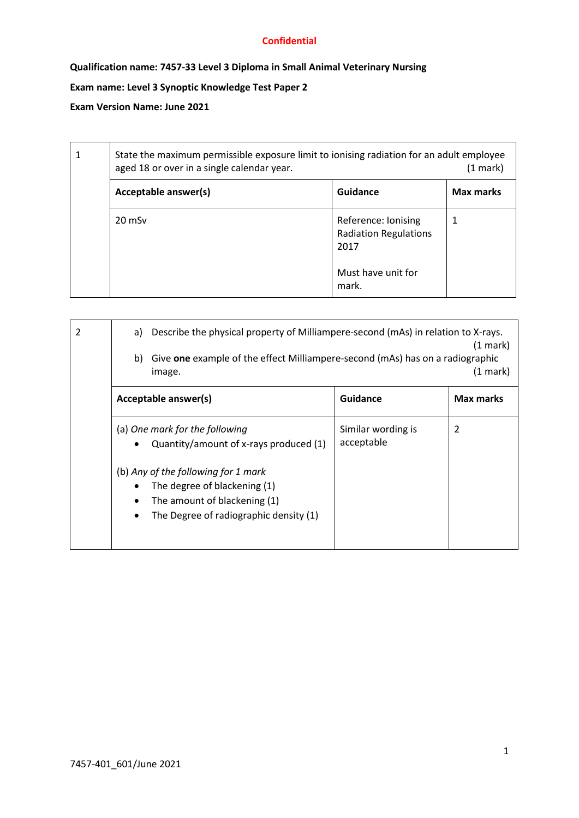# **Qualification name: 7457-33 Level 3 Diploma in Small Animal Veterinary Nursing**

# **Exam name: Level 3 Synoptic Knowledge Test Paper 2**

### **Exam Version Name: June 2021**

| 1 | State the maximum permissible exposure limit to ionising radiation for an adult employee<br>aged 18 or over in a single calendar year.<br>(1 mark) |                                                             |                  |
|---|----------------------------------------------------------------------------------------------------------------------------------------------------|-------------------------------------------------------------|------------------|
|   | Acceptable answer(s)                                                                                                                               | Guidance                                                    | <b>Max marks</b> |
|   | $20 \text{ mSv}$                                                                                                                                   | Reference: Ionising<br><b>Radiation Regulations</b><br>2017 | 1                |
|   |                                                                                                                                                    | Must have unit for<br>mark.                                 |                  |

| 2 | Describe the physical property of Milliampere-second (mAs) in relation to X-rays.<br>a)<br>(1 mark)<br>Give one example of the effect Milliampere-second (mAs) has on a radiographic<br>b)<br>(1 mark)<br>image. |                                  |           |
|---|------------------------------------------------------------------------------------------------------------------------------------------------------------------------------------------------------------------|----------------------------------|-----------|
|   | Acceptable answer(s)                                                                                                                                                                                             | <b>Guidance</b>                  | Max marks |
|   | (a) One mark for the following<br>Quantity/amount of x-rays produced (1)                                                                                                                                         | Similar wording is<br>acceptable | 2         |
|   | (b) Any of the following for 1 mark<br>The degree of blackening (1)<br>The amount of blackening (1)<br>The Degree of radiographic density (1)<br>٠                                                               |                                  |           |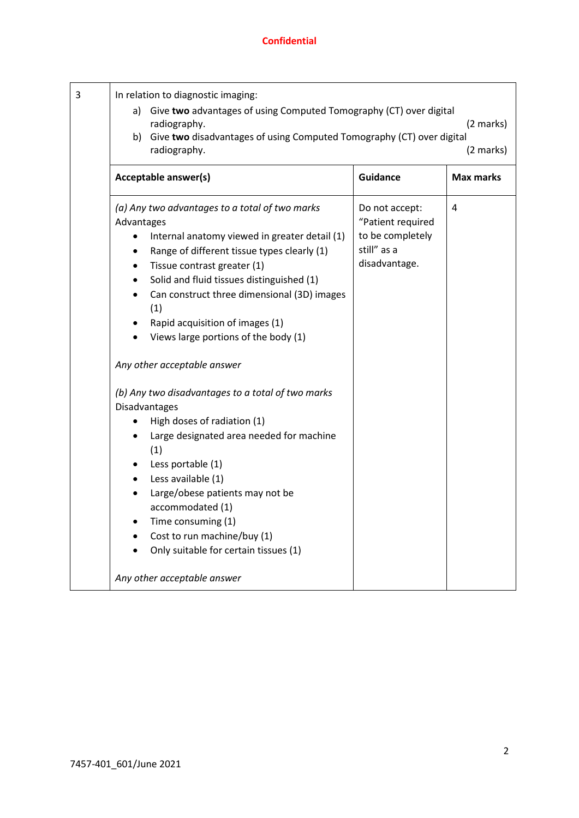| 3 | In relation to diagnostic imaging:<br>a) Give two advantages of using Computed Tomography (CT) over digital<br>(2 marks)<br>radiography.<br>b) Give two disadvantages of using Computed Tomography (CT) over digital<br>radiography.<br>(2 marks)                                                                                                                                                                                                                                   |                                                                                         |           |
|---|-------------------------------------------------------------------------------------------------------------------------------------------------------------------------------------------------------------------------------------------------------------------------------------------------------------------------------------------------------------------------------------------------------------------------------------------------------------------------------------|-----------------------------------------------------------------------------------------|-----------|
|   | Acceptable answer(s)                                                                                                                                                                                                                                                                                                                                                                                                                                                                | <b>Guidance</b>                                                                         | Max marks |
|   | (a) Any two advantages to a total of two marks<br>Advantages<br>Internal anatomy viewed in greater detail (1)<br>$\bullet$<br>Range of different tissue types clearly (1)<br>$\bullet$<br>Tissue contrast greater (1)<br>٠<br>Solid and fluid tissues distinguished (1)<br>٠<br>Can construct three dimensional (3D) images<br>$\bullet$<br>(1)<br>Rapid acquisition of images (1)<br>$\bullet$<br>Views large portions of the body (1)<br>$\bullet$<br>Any other acceptable answer | Do not accept:<br>"Patient required<br>to be completely<br>still" as a<br>disadvantage. | 4         |
|   | (b) Any two disadvantages to a total of two marks<br>Disadvantages                                                                                                                                                                                                                                                                                                                                                                                                                  |                                                                                         |           |
|   | High doses of radiation (1)<br>Large designated area needed for machine<br>(1)<br>Less portable (1)<br>$\bullet$<br>Less available (1)<br>$\bullet$<br>Large/obese patients may not be<br>$\bullet$<br>accommodated (1)<br>Time consuming (1)<br>٠<br>Cost to run machine/buy (1)<br>Only suitable for certain tissues (1)<br>Any other acceptable answer                                                                                                                           |                                                                                         |           |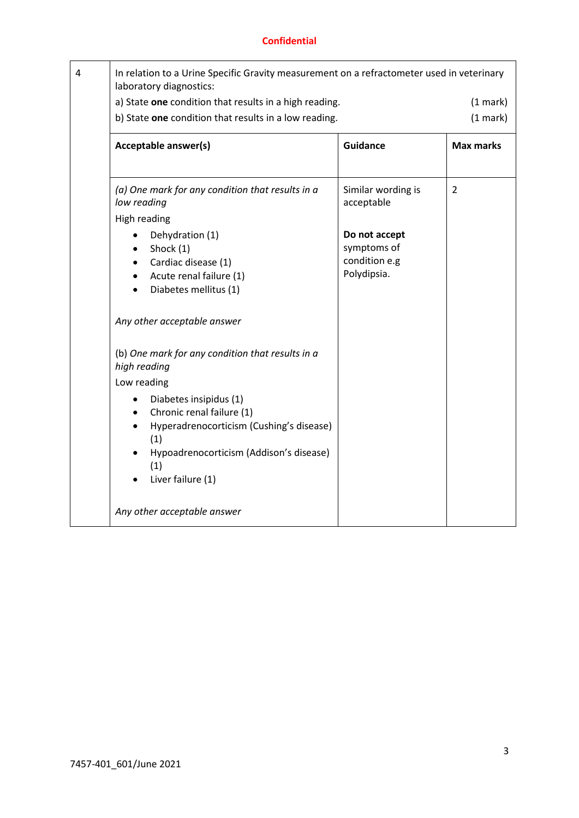| In relation to a Urine Specific Gravity measurement on a refractometer used in veterinary<br>laboratory diagnostics:                                                                         |                                                              |                      |
|----------------------------------------------------------------------------------------------------------------------------------------------------------------------------------------------|--------------------------------------------------------------|----------------------|
| a) State one condition that results in a high reading.<br>b) State one condition that results in a low reading.                                                                              |                                                              | (1 mark)<br>(1 mark) |
| Acceptable answer(s)                                                                                                                                                                         | <b>Guidance</b>                                              | <b>Max marks</b>     |
| (a) One mark for any condition that results in a<br>low reading                                                                                                                              | Similar wording is<br>acceptable                             | $\overline{2}$       |
| <b>High reading</b><br>Dehydration (1)<br>Shock (1)<br>Cardiac disease (1)<br>Acute renal failure (1)<br>Diabetes mellitus (1)                                                               | Do not accept<br>symptoms of<br>condition e.g<br>Polydipsia. |                      |
| Any other acceptable answer                                                                                                                                                                  |                                                              |                      |
| (b) One mark for any condition that results in a<br>high reading                                                                                                                             |                                                              |                      |
| Low reading<br>Diabetes insipidus (1)<br>Chronic renal failure (1)<br>Hyperadrenocorticism (Cushing's disease)<br>(1)<br>Hypoadrenocorticism (Addison's disease)<br>(1)<br>Liver failure (1) |                                                              |                      |
| Any other acceptable answer                                                                                                                                                                  |                                                              |                      |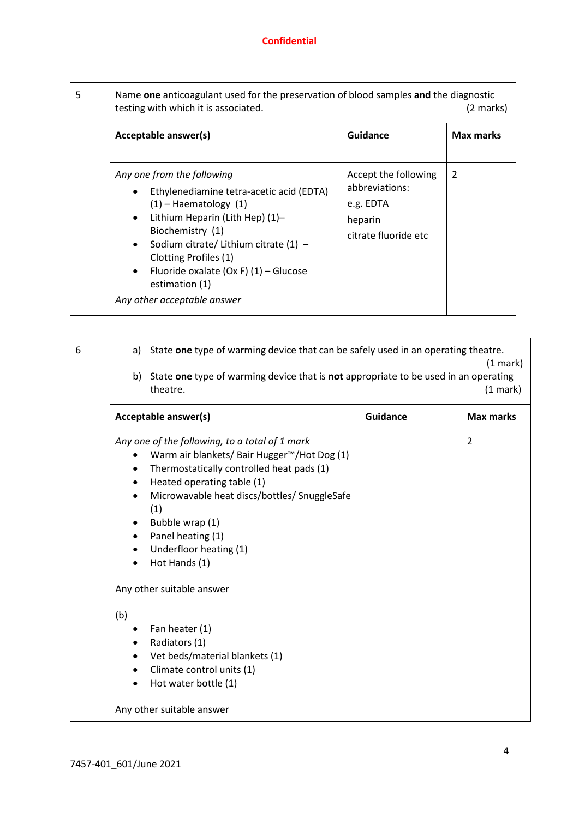| 5 | Name one anticoagulant used for the preservation of blood samples and the diagnostic<br>testing with which it is associated.<br>(2 marks)                                                                                                                                                                                                            |                                                                                        |                  |
|---|------------------------------------------------------------------------------------------------------------------------------------------------------------------------------------------------------------------------------------------------------------------------------------------------------------------------------------------------------|----------------------------------------------------------------------------------------|------------------|
|   | Acceptable answer(s)                                                                                                                                                                                                                                                                                                                                 | Guidance                                                                               | <b>Max marks</b> |
|   | Any one from the following<br>Ethylenediamine tetra-acetic acid (EDTA)<br>$(1)$ – Haematology $(1)$<br>Lithium Heparin (Lith Hep) (1)-<br>Biochemistry (1)<br>Sodium citrate/ Lithium citrate $(1)$ –<br>$\bullet$<br>Clotting Profiles (1)<br>Fluoride oxalate (Ox F) $(1)$ – Glucose<br>$\bullet$<br>estimation (1)<br>Any other acceptable answer | Accept the following<br>abbreviations:<br>e.g. EDTA<br>heparin<br>citrate fluoride etc | 2                |

| 6 | State one type of warming device that can be safely used in an operating theatre.<br>a)<br>$(1 \text{ mark})$<br>b) State one type of warming device that is not appropriate to be used in an operating<br>theatre.<br>(1 mark)                                                                                                                                                                                 |                 |                  |
|---|-----------------------------------------------------------------------------------------------------------------------------------------------------------------------------------------------------------------------------------------------------------------------------------------------------------------------------------------------------------------------------------------------------------------|-----------------|------------------|
|   | Acceptable answer(s)                                                                                                                                                                                                                                                                                                                                                                                            | <b>Guidance</b> | <b>Max marks</b> |
|   | Any one of the following, to a total of 1 mark<br>Warm air blankets/ Bair Hugger™/Hot Dog (1)<br>$\bullet$<br>Thermostatically controlled heat pads (1)<br>Heated operating table (1)<br>$\bullet$<br>Microwavable heat discs/bottles/ SnuggleSafe<br>$\bullet$<br>(1)<br>Bubble wrap (1)<br>Panel heating (1)<br>Underfloor heating (1)<br>Hot Hands (1)<br>Any other suitable answer<br>(b)<br>Fan heater (1) |                 | $\overline{2}$   |
|   | Radiators (1)<br>Vet beds/material blankets (1)<br>Climate control units (1)<br>Hot water bottle (1)<br>Any other suitable answer                                                                                                                                                                                                                                                                               |                 |                  |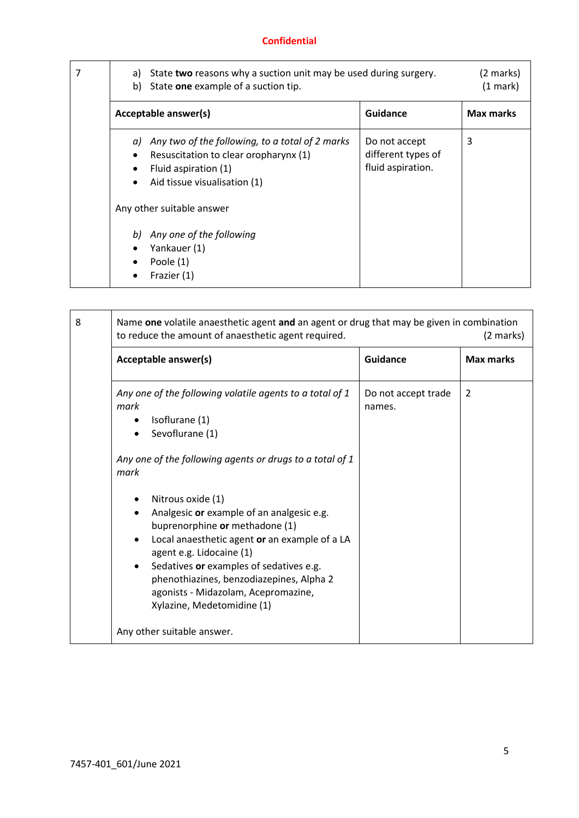| 7 | State two reasons why a suction unit may be used during surgery.<br>a)<br>State one example of a suction tip.<br>b)                                    |                                                          | (2 marks)<br>(1 mark) |
|---|--------------------------------------------------------------------------------------------------------------------------------------------------------|----------------------------------------------------------|-----------------------|
|   | Acceptable answer(s)                                                                                                                                   | Guidance                                                 | <b>Max marks</b>      |
|   | Any two of the following, to a total of 2 marks<br>a)<br>Resuscitation to clear oropharynx (1)<br>Fluid aspiration (1)<br>Aid tissue visualisation (1) | Do not accept<br>different types of<br>fluid aspiration. | 3                     |
|   | Any other suitable answer                                                                                                                              |                                                          |                       |
|   | Any one of the following<br>b)<br>Yankauer (1)<br>Poole (1)<br>Frazier (1)                                                                             |                                                          |                       |

| 8 | Name one volatile anaesthetic agent and an agent or drug that may be given in combination<br>to reduce the amount of anaesthetic agent required.<br>(2 marks)                                                                                                                                                                                                                                                                                                                                                                                        |                               |                  |
|---|------------------------------------------------------------------------------------------------------------------------------------------------------------------------------------------------------------------------------------------------------------------------------------------------------------------------------------------------------------------------------------------------------------------------------------------------------------------------------------------------------------------------------------------------------|-------------------------------|------------------|
|   | Acceptable answer(s)                                                                                                                                                                                                                                                                                                                                                                                                                                                                                                                                 | <b>Guidance</b>               | <b>Max marks</b> |
|   | Any one of the following volatile agents to a total of 1<br>mark<br>Isoflurane (1)<br>Sevoflurane (1)<br>Any one of the following agents or drugs to a total of 1<br>mark<br>Nitrous oxide (1)<br>Analgesic or example of an analgesic e.g.<br>buprenorphine or methadone (1)<br>Local anaesthetic agent or an example of a LA<br>agent e.g. Lidocaine (1)<br>Sedatives or examples of sedatives e.g.<br>phenothiazines, benzodiazepines, Alpha 2<br>agonists - Midazolam, Acepromazine,<br>Xylazine, Medetomidine (1)<br>Any other suitable answer. | Do not accept trade<br>names. | $\overline{2}$   |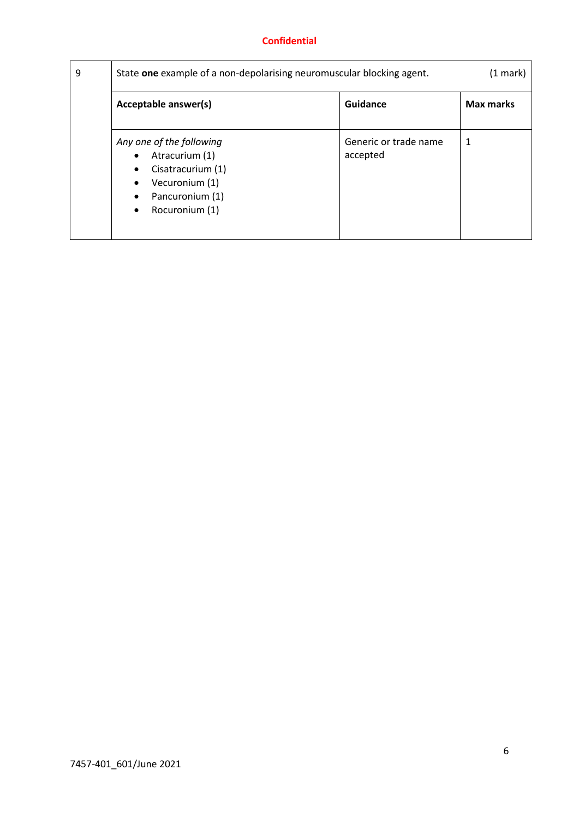| 9 | State one example of a non-depolarising neuromuscular blocking agent.                                                                                         |                                   | (1 mark)  |
|---|---------------------------------------------------------------------------------------------------------------------------------------------------------------|-----------------------------------|-----------|
|   | Acceptable answer(s)                                                                                                                                          | <b>Guidance</b>                   | Max marks |
|   | Any one of the following<br>Atracurium (1)<br>$\bullet$<br>Cisatracurium (1)<br>Vecuronium (1)<br>Pancuronium (1)<br>$\bullet$<br>Rocuronium (1)<br>$\bullet$ | Generic or trade name<br>accepted | 1         |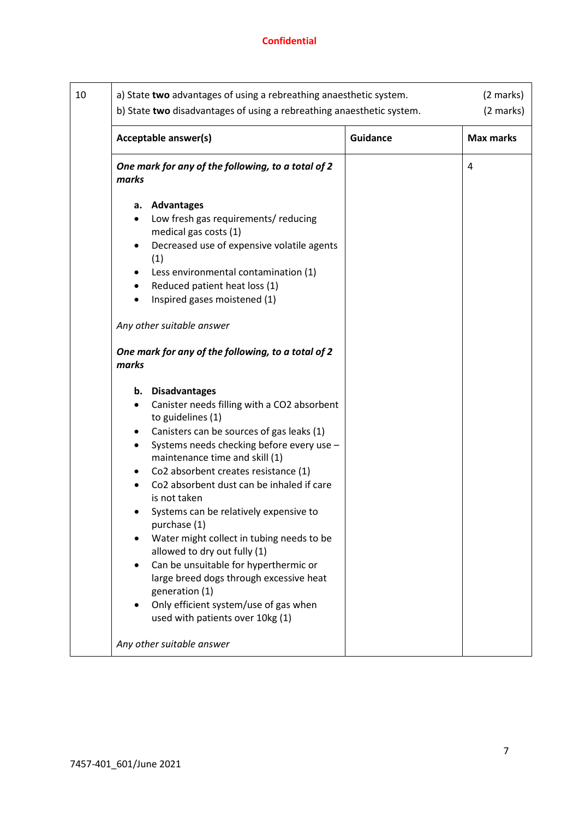| 10 | a) State two advantages of using a rebreathing anaesthetic system.<br>b) State two disadvantages of using a rebreathing anaesthetic system.                                                                                                                                                                                                                                                                                                                                                                                                                                                                                                                                                                                                                                                                                                                                                                    |                 | (2 marks)<br>(2 marks) |
|----|----------------------------------------------------------------------------------------------------------------------------------------------------------------------------------------------------------------------------------------------------------------------------------------------------------------------------------------------------------------------------------------------------------------------------------------------------------------------------------------------------------------------------------------------------------------------------------------------------------------------------------------------------------------------------------------------------------------------------------------------------------------------------------------------------------------------------------------------------------------------------------------------------------------|-----------------|------------------------|
|    | Acceptable answer(s)                                                                                                                                                                                                                                                                                                                                                                                                                                                                                                                                                                                                                                                                                                                                                                                                                                                                                           | <b>Guidance</b> | <b>Max marks</b>       |
|    | One mark for any of the following, to a total of 2<br>marks                                                                                                                                                                                                                                                                                                                                                                                                                                                                                                                                                                                                                                                                                                                                                                                                                                                    |                 | 4                      |
|    | a. Advantages<br>Low fresh gas requirements/ reducing<br>medical gas costs (1)<br>Decreased use of expensive volatile agents<br>(1)<br>Less environmental contamination (1)<br>Reduced patient heat loss (1)<br>Inspired gases moistened (1)<br>Any other suitable answer<br>One mark for any of the following, to a total of 2<br>marks<br>b. Disadvantages<br>Canister needs filling with a CO2 absorbent<br>to guidelines (1)<br>Canisters can be sources of gas leaks (1)<br>Systems needs checking before every use -<br>maintenance time and skill (1)<br>Co2 absorbent creates resistance (1)<br>Co2 absorbent dust can be inhaled if care<br>is not taken<br>Systems can be relatively expensive to<br>purchase (1)<br>Water might collect in tubing needs to be<br>allowed to dry out fully (1)<br>Can be unsuitable for hyperthermic or<br>large breed dogs through excessive heat<br>generation (1) |                 |                        |
|    | Only efficient system/use of gas when<br>used with patients over 10kg (1)<br>Any other suitable answer                                                                                                                                                                                                                                                                                                                                                                                                                                                                                                                                                                                                                                                                                                                                                                                                         |                 |                        |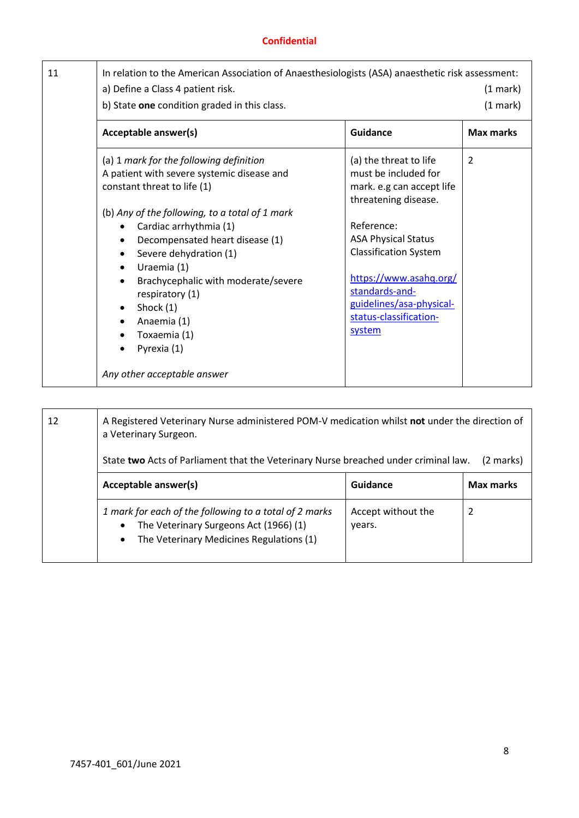| 11 | In relation to the American Association of Anaesthesiologists (ASA) anaesthetic risk assessment:<br>a) Define a Class 4 patient risk.<br>b) State one condition graded in this class.                                                                                                                                                                                                                                                 |                                                                                                                                                                                                                                                                                             | (1 mark)<br>(1 mark) |
|----|---------------------------------------------------------------------------------------------------------------------------------------------------------------------------------------------------------------------------------------------------------------------------------------------------------------------------------------------------------------------------------------------------------------------------------------|---------------------------------------------------------------------------------------------------------------------------------------------------------------------------------------------------------------------------------------------------------------------------------------------|----------------------|
|    | Acceptable answer(s)                                                                                                                                                                                                                                                                                                                                                                                                                  | <b>Guidance</b>                                                                                                                                                                                                                                                                             | <b>Max marks</b>     |
|    | (a) 1 mark for the following definition<br>A patient with severe systemic disease and<br>constant threat to life (1)<br>(b) Any of the following, to a total of 1 mark<br>Cardiac arrhythmia (1)<br>Decompensated heart disease (1)<br>Severe dehydration (1)<br>٠<br>Uraemia (1)<br>Brachycephalic with moderate/severe<br>respiratory (1)<br>Shock (1)<br>Anaemia (1)<br>Toxaemia (1)<br>Pyrexia (1)<br>Any other acceptable answer | (a) the threat to life<br>must be included for<br>mark. e.g can accept life<br>threatening disease.<br>Reference:<br><b>ASA Physical Status</b><br><b>Classification System</b><br>https://www.asahq.org/<br>standards-and-<br>guidelines/asa-physical-<br>status-classification-<br>system | $\overline{2}$       |

| 12 | A Registered Veterinary Nurse administered POM-V medication whilst not under the direction of<br>a Veterinary Surgeon.<br>State two Acts of Parliament that the Veterinary Nurse breached under criminal law.<br>(2 marks) |                              |                  |
|----|----------------------------------------------------------------------------------------------------------------------------------------------------------------------------------------------------------------------------|------------------------------|------------------|
|    | Acceptable answer(s)                                                                                                                                                                                                       | Guidance                     | <b>Max marks</b> |
|    | 1 mark for each of the following to a total of 2 marks<br>The Veterinary Surgeons Act (1966) (1)<br>The Veterinary Medicines Regulations (1)<br>$\bullet$                                                                  | Accept without the<br>years. | 2                |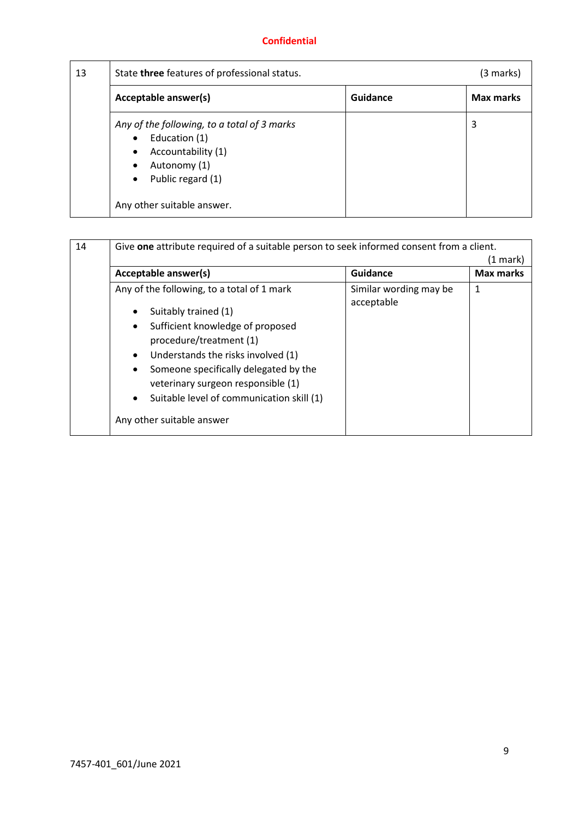| 13 | State three features of professional status.                                                                                                                                                              |          | (3 marks)        |
|----|-----------------------------------------------------------------------------------------------------------------------------------------------------------------------------------------------------------|----------|------------------|
|    | Acceptable answer(s)                                                                                                                                                                                      | Guidance | <b>Max marks</b> |
|    | Any of the following, to a total of 3 marks<br>Education (1)<br>$\bullet$<br>Accountability (1)<br>$\bullet$<br>Autonomy (1)<br>$\bullet$<br>Public regard (1)<br>$\bullet$<br>Any other suitable answer. |          | 3                |

| Acceptable answer(s)                                                                                                                                                                                                                                                                                                                                                                 | Guidance                             | <b>Max marks</b> |
|--------------------------------------------------------------------------------------------------------------------------------------------------------------------------------------------------------------------------------------------------------------------------------------------------------------------------------------------------------------------------------------|--------------------------------------|------------------|
| Any of the following, to a total of 1 mark<br>Suitably trained (1)<br>Sufficient knowledge of proposed<br>$\bullet$<br>procedure/treatment (1)<br>Understands the risks involved (1)<br>$\bullet$<br>Someone specifically delegated by the<br>$\bullet$<br>veterinary surgeon responsible (1)<br>Suitable level of communication skill (1)<br>$\bullet$<br>Any other suitable answer | Similar wording may be<br>acceptable | 1                |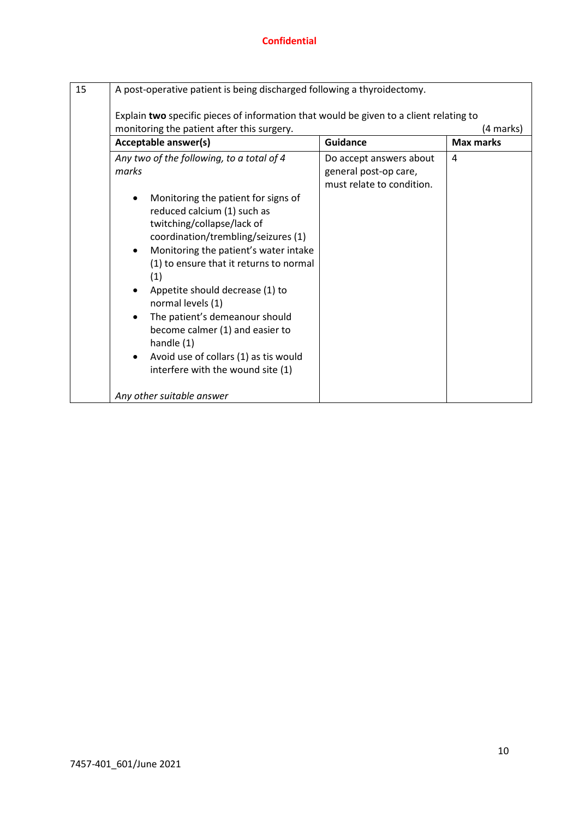| 15 | A post-operative patient is being discharged following a thyroidectomy.                                                                                                                                                                                                                                                                                                                                                                                                               |                                                                               |                  |
|----|---------------------------------------------------------------------------------------------------------------------------------------------------------------------------------------------------------------------------------------------------------------------------------------------------------------------------------------------------------------------------------------------------------------------------------------------------------------------------------------|-------------------------------------------------------------------------------|------------------|
|    | Explain two specific pieces of information that would be given to a client relating to<br>monitoring the patient after this surgery.                                                                                                                                                                                                                                                                                                                                                  |                                                                               | (4 marks)        |
|    | Acceptable answer(s)                                                                                                                                                                                                                                                                                                                                                                                                                                                                  | <b>Guidance</b>                                                               | <b>Max marks</b> |
|    | Any two of the following, to a total of 4<br>marks                                                                                                                                                                                                                                                                                                                                                                                                                                    | Do accept answers about<br>general post-op care,<br>must relate to condition. | 4                |
|    | Monitoring the patient for signs of<br>reduced calcium (1) such as<br>twitching/collapse/lack of<br>coordination/trembling/seizures (1)<br>Monitoring the patient's water intake<br>$\bullet$<br>(1) to ensure that it returns to normal<br>(1)<br>Appetite should decrease (1) to<br>normal levels (1)<br>The patient's demeanour should<br>become calmer (1) and easier to<br>handle (1)<br>Avoid use of collars (1) as tis would<br>$\bullet$<br>interfere with the wound site (1) |                                                                               |                  |
|    | Any other suitable answer                                                                                                                                                                                                                                                                                                                                                                                                                                                             |                                                                               |                  |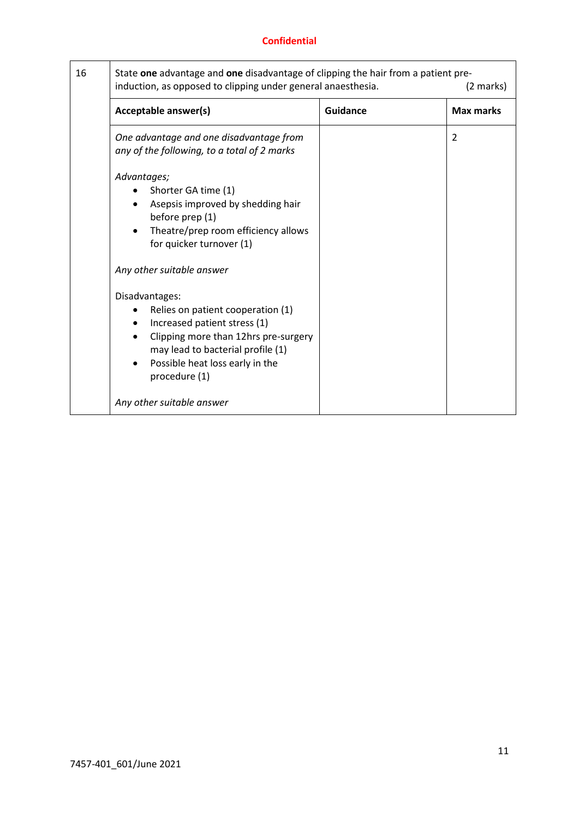| 16 | State one advantage and one disadvantage of clipping the hair from a patient pre-<br>induction, as opposed to clipping under general anaesthesia.                                                                    |                 | (2 marks)        |
|----|----------------------------------------------------------------------------------------------------------------------------------------------------------------------------------------------------------------------|-----------------|------------------|
|    | Acceptable answer(s)                                                                                                                                                                                                 | <b>Guidance</b> | <b>Max marks</b> |
|    | One advantage and one disadvantage from<br>any of the following, to a total of 2 marks                                                                                                                               |                 | $\overline{2}$   |
|    | Advantages;<br>Shorter GA time (1)<br>Asepsis improved by shedding hair<br>before prep (1)<br>Theatre/prep room efficiency allows<br>for quicker turnover (1)<br>Any other suitable answer                           |                 |                  |
|    | Disadvantages:<br>Relies on patient cooperation (1)<br>Increased patient stress (1)<br>Clipping more than 12hrs pre-surgery<br>may lead to bacterial profile (1)<br>Possible heat loss early in the<br>procedure (1) |                 |                  |
|    | Any other suitable answer                                                                                                                                                                                            |                 |                  |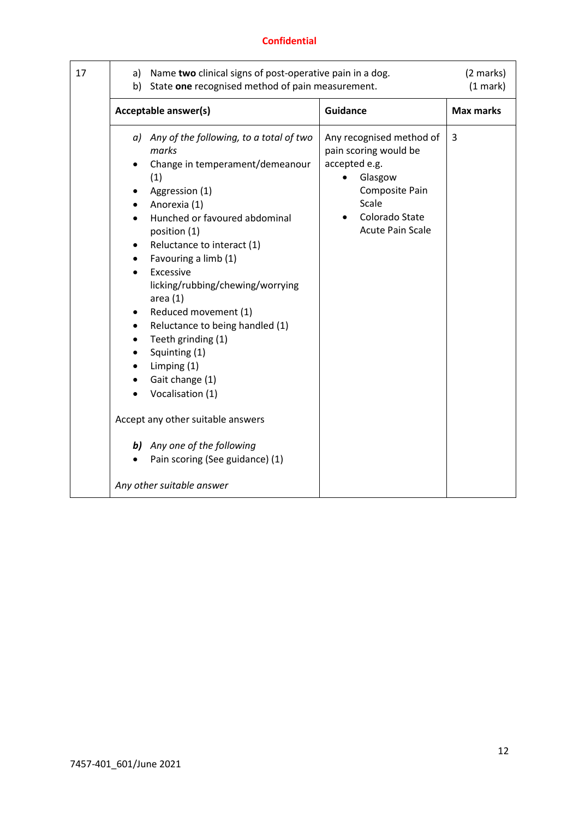| 17 | b)     | a) Name two clinical signs of post-operative pain in a dog.<br>State one recognised method of pain measurement.                                                                                                                                                                                                                                                                                                                                                                                 |                                                                                                                                                       | (2 marks)<br>(1 mark) |
|----|--------|-------------------------------------------------------------------------------------------------------------------------------------------------------------------------------------------------------------------------------------------------------------------------------------------------------------------------------------------------------------------------------------------------------------------------------------------------------------------------------------------------|-------------------------------------------------------------------------------------------------------------------------------------------------------|-----------------------|
|    |        | Acceptable answer(s)                                                                                                                                                                                                                                                                                                                                                                                                                                                                            | <b>Guidance</b>                                                                                                                                       | <b>Max marks</b>      |
|    | ٠<br>٠ | a) Any of the following, to a total of two<br>marks<br>Change in temperament/demeanour<br>(1)<br>Aggression (1)<br>Anorexia (1)<br>Hunched or favoured abdominal<br>position (1)<br>Reluctance to interact (1)<br>Favouring a limb (1)<br>Excessive<br>licking/rubbing/chewing/worrying<br>area(1)<br>Reduced movement (1)<br>Reluctance to being handled (1)<br>Teeth grinding (1)<br>Squinting (1)<br>Limping (1)<br>Gait change (1)<br>Vocalisation (1)<br>Accept any other suitable answers | Any recognised method of<br>pain scoring would be<br>accepted e.g.<br>Glasgow<br>Composite Pain<br>Scale<br>Colorado State<br><b>Acute Pain Scale</b> | 3                     |
|    |        | <b>b)</b> Any one of the following<br>Pain scoring (See guidance) (1)                                                                                                                                                                                                                                                                                                                                                                                                                           |                                                                                                                                                       |                       |
|    |        | Any other suitable answer                                                                                                                                                                                                                                                                                                                                                                                                                                                                       |                                                                                                                                                       |                       |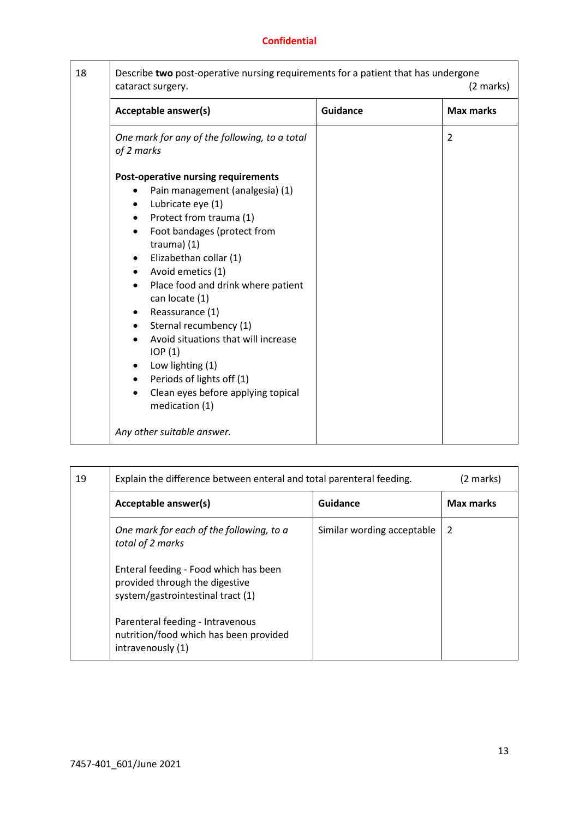| 18 | Describe two post-operative nursing requirements for a patient that has undergone<br>cataract surgery.                                                                                                                                                                                                                                                                                                                                                                                                        |                 | (2 marks)        |
|----|---------------------------------------------------------------------------------------------------------------------------------------------------------------------------------------------------------------------------------------------------------------------------------------------------------------------------------------------------------------------------------------------------------------------------------------------------------------------------------------------------------------|-----------------|------------------|
|    | Acceptable answer(s)                                                                                                                                                                                                                                                                                                                                                                                                                                                                                          | <b>Guidance</b> | <b>Max marks</b> |
|    | One mark for any of the following, to a total<br>of 2 marks<br><b>Post-operative nursing requirements</b><br>Pain management (analgesia) (1)<br>Lubricate eye (1)<br>$\bullet$<br>Protect from trauma (1)<br>$\bullet$<br>Foot bandages (protect from<br>$\bullet$<br>trauma) $(1)$<br>Elizabethan collar (1)<br>$\bullet$<br>Avoid emetics (1)<br>$\bullet$<br>Place food and drink where patient<br>can locate (1)<br>Reassurance (1)<br>٠<br>Sternal recumbency (1)<br>Avoid situations that will increase |                 | $\overline{2}$   |
|    | IOP(1)<br>Low lighting (1)<br>Periods of lights off (1)<br>$\bullet$<br>Clean eyes before applying topical<br>medication (1)<br>Any other suitable answer.                                                                                                                                                                                                                                                                                                                                                    |                 |                  |

| 19 | Explain the difference between enteral and total parenteral feeding.                                         |                            | (2 marks)        |
|----|--------------------------------------------------------------------------------------------------------------|----------------------------|------------------|
|    | Acceptable answer(s)                                                                                         | Guidance                   | <b>Max marks</b> |
|    | One mark for each of the following, to a<br>total of 2 marks                                                 | Similar wording acceptable | 2                |
|    | Enteral feeding - Food which has been<br>provided through the digestive<br>system/gastrointestinal tract (1) |                            |                  |
|    | Parenteral feeding - Intravenous<br>nutrition/food which has been provided<br>intravenously (1)              |                            |                  |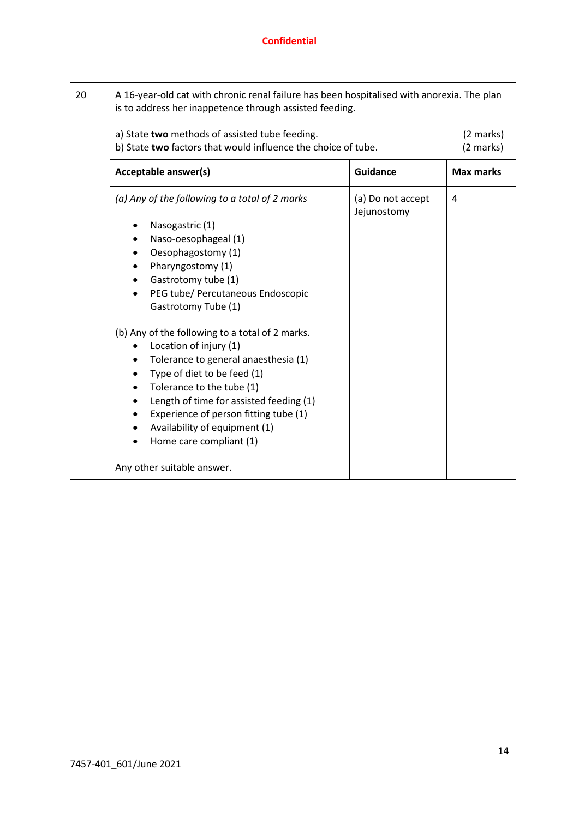| 20 | A 16-year-old cat with chronic renal failure has been hospitalised with anorexia. The plan<br>is to address her inappetence through assisted feeding.                                                                                                                                                                                                                                                                                                                                                                                                                                                    |                                  |                        |
|----|----------------------------------------------------------------------------------------------------------------------------------------------------------------------------------------------------------------------------------------------------------------------------------------------------------------------------------------------------------------------------------------------------------------------------------------------------------------------------------------------------------------------------------------------------------------------------------------------------------|----------------------------------|------------------------|
|    | a) State two methods of assisted tube feeding.<br>b) State two factors that would influence the choice of tube.                                                                                                                                                                                                                                                                                                                                                                                                                                                                                          |                                  | (2 marks)<br>(2 marks) |
|    | Acceptable answer(s)                                                                                                                                                                                                                                                                                                                                                                                                                                                                                                                                                                                     | <b>Guidance</b>                  | <b>Max marks</b>       |
|    | (a) Any of the following to a total of 2 marks<br>Nasogastric (1)<br>Naso-oesophageal (1)<br>Oesophagostomy (1)<br>$\bullet$<br>Pharyngostomy (1)<br>Gastrotomy tube (1)<br>$\bullet$<br>PEG tube/ Percutaneous Endoscopic<br>$\bullet$<br>Gastrotomy Tube (1)<br>(b) Any of the following to a total of 2 marks.<br>Location of injury (1)<br>Tolerance to general anaesthesia (1)<br>Type of diet to be feed (1)<br>$\bullet$<br>Tolerance to the tube (1)<br>Length of time for assisted feeding (1)<br>٠<br>Experience of person fitting tube (1)<br>$\bullet$<br>Availability of equipment (1)<br>٠ | (a) Do not accept<br>Jejunostomy | 4                      |
|    | Home care compliant (1)<br>$\bullet$<br>Any other suitable answer.                                                                                                                                                                                                                                                                                                                                                                                                                                                                                                                                       |                                  |                        |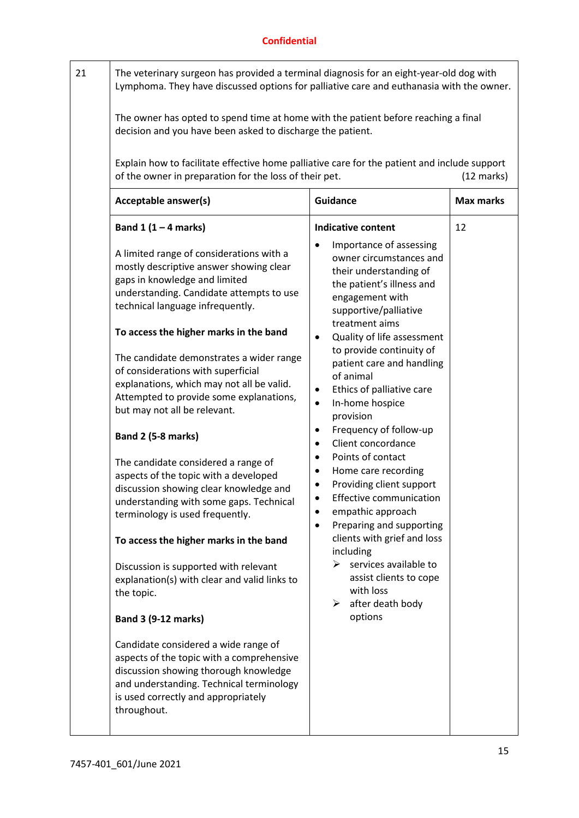| 21 | The owner has opted to spend time at home with the patient before reaching a final                                                                                                                                                                                                                                                                                                                                                                                                                                                                                                                                                                                                                                                                                                                                                                                                                                                                                                                                                                                                                    | The veterinary surgeon has provided a terminal diagnosis for an eight-year-old dog with<br>Lymphoma. They have discussed options for palliative care and euthanasia with the owner.                                                                                                                                                                                                                                                                                                                                                                                                                                                                                                                                                                                        |                      |  |
|----|-------------------------------------------------------------------------------------------------------------------------------------------------------------------------------------------------------------------------------------------------------------------------------------------------------------------------------------------------------------------------------------------------------------------------------------------------------------------------------------------------------------------------------------------------------------------------------------------------------------------------------------------------------------------------------------------------------------------------------------------------------------------------------------------------------------------------------------------------------------------------------------------------------------------------------------------------------------------------------------------------------------------------------------------------------------------------------------------------------|----------------------------------------------------------------------------------------------------------------------------------------------------------------------------------------------------------------------------------------------------------------------------------------------------------------------------------------------------------------------------------------------------------------------------------------------------------------------------------------------------------------------------------------------------------------------------------------------------------------------------------------------------------------------------------------------------------------------------------------------------------------------------|----------------------|--|
|    | decision and you have been asked to discharge the patient.<br>Explain how to facilitate effective home palliative care for the patient and include support                                                                                                                                                                                                                                                                                                                                                                                                                                                                                                                                                                                                                                                                                                                                                                                                                                                                                                                                            |                                                                                                                                                                                                                                                                                                                                                                                                                                                                                                                                                                                                                                                                                                                                                                            |                      |  |
|    | of the owner in preparation for the loss of their pet.                                                                                                                                                                                                                                                                                                                                                                                                                                                                                                                                                                                                                                                                                                                                                                                                                                                                                                                                                                                                                                                |                                                                                                                                                                                                                                                                                                                                                                                                                                                                                                                                                                                                                                                                                                                                                                            | $(12 \text{ marks})$ |  |
|    | Acceptable answer(s)                                                                                                                                                                                                                                                                                                                                                                                                                                                                                                                                                                                                                                                                                                                                                                                                                                                                                                                                                                                                                                                                                  | <b>Guidance</b>                                                                                                                                                                                                                                                                                                                                                                                                                                                                                                                                                                                                                                                                                                                                                            | <b>Max marks</b>     |  |
|    | Band $1(1-4$ marks)                                                                                                                                                                                                                                                                                                                                                                                                                                                                                                                                                                                                                                                                                                                                                                                                                                                                                                                                                                                                                                                                                   | <b>Indicative content</b>                                                                                                                                                                                                                                                                                                                                                                                                                                                                                                                                                                                                                                                                                                                                                  | 12                   |  |
|    | A limited range of considerations with a<br>mostly descriptive answer showing clear<br>gaps in knowledge and limited<br>understanding. Candidate attempts to use<br>technical language infrequently.<br>To access the higher marks in the band<br>The candidate demonstrates a wider range<br>of considerations with superficial<br>explanations, which may not all be valid.<br>Attempted to provide some explanations,<br>but may not all be relevant.<br>Band 2 (5-8 marks)<br>The candidate considered a range of<br>aspects of the topic with a developed<br>discussion showing clear knowledge and<br>understanding with some gaps. Technical<br>terminology is used frequently.<br>To access the higher marks in the band<br>Discussion is supported with relevant<br>explanation(s) with clear and valid links to<br>the topic.<br><b>Band 3 (9-12 marks)</b><br>Candidate considered a wide range of<br>aspects of the topic with a comprehensive<br>discussion showing thorough knowledge<br>and understanding. Technical terminology<br>is used correctly and appropriately<br>throughout. | Importance of assessing<br>owner circumstances and<br>their understanding of<br>the patient's illness and<br>engagement with<br>supportive/palliative<br>treatment aims<br>Quality of life assessment<br>to provide continuity of<br>patient care and handling<br>of animal<br>Ethics of palliative care<br>٠<br>In-home hospice<br>$\bullet$<br>provision<br>Frequency of follow-up<br>٠<br>Client concordance<br>$\bullet$<br>Points of contact<br>٠<br>Home care recording<br>Providing client support<br><b>Effective communication</b><br>empathic approach<br>Preparing and supporting<br>$\bullet$<br>clients with grief and loss<br>including<br>$\triangleright$ services available to<br>assist clients to cope<br>with loss<br>after death body<br>≻<br>options |                      |  |